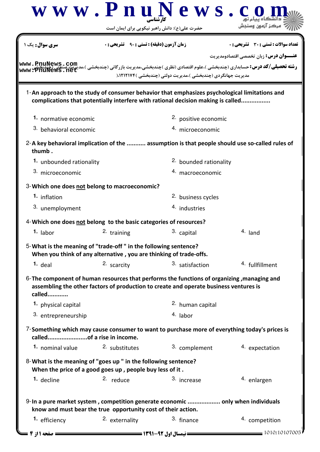|                                  | $\bf w \mathbf w \mathbf w \mathbf . \mathbf P \mathbf n \mathbf u \mathbf N \mathbf e \mathbf w \mathbf s$ .                         | حضرت علی(ع): دانش راهبر نیکویی برای ایمان است                                                                                                                                        |                                                                                                          |
|----------------------------------|---------------------------------------------------------------------------------------------------------------------------------------|--------------------------------------------------------------------------------------------------------------------------------------------------------------------------------------|----------------------------------------------------------------------------------------------------------|
| <mark>سری سوال :</mark> یک ۱     | <b>زمان آزمون (دقیقه) : تستی : 90 ٪ تشریحی : 0</b>                                                                                    |                                                                                                                                                                                      | تعداد سوالات : تستي : 30 ٪ تشريحي : 0                                                                    |
|                                  |                                                                                                                                       |                                                                                                                                                                                      | <b>عنـــوان درس:</b> زبان تخصصي اقتصادومديريت                                                            |
| www.PnuNews.com<br>www.PnuNews.i |                                                                                                                                       | مدیریت جهانگردی (چندبخشی )،مدیریت دولتی (چندبخشی )۱۲۱۲۱۷۴،(                                                                                                                          | <b>رشته تحصیلی/کد درس:</b> حسابداری (چندبخشی )،علوم اقتصادی (نظری )چندبخشی،مدیریت بازرگانی (چندبخشی )،مد |
|                                  |                                                                                                                                       | 1-An approach to the study of consumer behavior that emphasizes psychological limitations and<br>complications that potentially interfere with rational decision making is called    |                                                                                                          |
| 1. normative economic            |                                                                                                                                       | 2. positive economic                                                                                                                                                                 |                                                                                                          |
| 3. behavioral economic           |                                                                                                                                       | 4. microeconomic                                                                                                                                                                     |                                                                                                          |
| thumb.                           |                                                                                                                                       |                                                                                                                                                                                      | 2-A key behavioral implication of the  assumption is that people should use so-called rules of           |
| 1. unbounded rationality         |                                                                                                                                       | 2. bounded rationality                                                                                                                                                               |                                                                                                          |
| 3. microeconomic                 |                                                                                                                                       | 4. macroeconomic                                                                                                                                                                     |                                                                                                          |
|                                  | 3-Which one does not belong to macroeconomic?                                                                                         |                                                                                                                                                                                      |                                                                                                          |
| 1. inflation                     |                                                                                                                                       | 2. business cycles                                                                                                                                                                   |                                                                                                          |
| 3. unemployment                  |                                                                                                                                       | 4. industries                                                                                                                                                                        |                                                                                                          |
|                                  | 4-Which one does not belong to the basic categories of resources?                                                                     |                                                                                                                                                                                      |                                                                                                          |
| $1.$ labor                       | 2. training                                                                                                                           | 3. capital                                                                                                                                                                           | 4. land                                                                                                  |
|                                  | 5-What is the meaning of "trade-off" in the following sentence?<br>When you think of any alternative, you are thinking of trade-offs. |                                                                                                                                                                                      |                                                                                                          |
| $1.$ deal                        | 2. scarcity                                                                                                                           | 3. satisfaction                                                                                                                                                                      | 4. fullfillment                                                                                          |
| called                           |                                                                                                                                       | 6- The component of human resources that performs the functions of organizing, managing and<br>assembling the other factors of production to create and operate business ventures is |                                                                                                          |
| 1. physical capital              |                                                                                                                                       | 2. human capital                                                                                                                                                                     |                                                                                                          |
| 3. entrepreneurship              |                                                                                                                                       | 4. labor                                                                                                                                                                             |                                                                                                          |
| calledof a rise in income.       |                                                                                                                                       | 7-Something which may cause consumer to want to purchase more of everything today's prices is                                                                                        |                                                                                                          |
| 1. nominal value                 | 2. substitutes                                                                                                                        | 3. complement                                                                                                                                                                        | 4. expectation                                                                                           |
|                                  | 8-What is the meaning of "goes up " in the following sentence?<br>When the price of a good goes up, people buy less of it.            |                                                                                                                                                                                      |                                                                                                          |
| 1. decline                       | 2. reduce                                                                                                                             | 3. increase                                                                                                                                                                          | 4. enlargen                                                                                              |
|                                  | know and must bear the true opportunity cost of their action.                                                                         | 9-In a pure market system, competition generate economic  only when individuals                                                                                                      |                                                                                                          |
| 1. efficiency                    | 2. externality                                                                                                                        | 3. finance                                                                                                                                                                           | 4. competition                                                                                           |
|                                  |                                                                                                                                       |                                                                                                                                                                                      |                                                                                                          |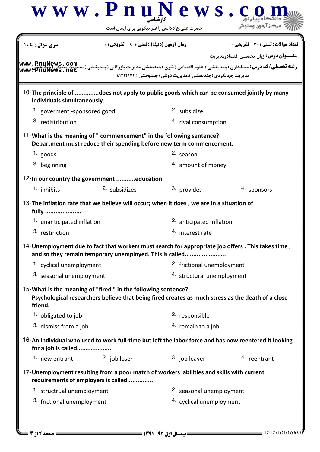|                                                                                                                                                    |                                                    | $\bf w \mathbf w \mathbf w \mathbf . \mathbf P \mathbf n \mathbf u \mathbf N \mathbf e \mathbf w \mathbf s$<br>حضرت علی(ع): دانش راهبر نیکویی برای ایمان است |                                                                                                                                                                        |  |  |
|----------------------------------------------------------------------------------------------------------------------------------------------------|----------------------------------------------------|--------------------------------------------------------------------------------------------------------------------------------------------------------------|------------------------------------------------------------------------------------------------------------------------------------------------------------------------|--|--|
| <b>سری سوال:</b> یک ۱                                                                                                                              | <b>زمان آزمون (دقیقه) : تستی : 90 ٪ تشریحی : 0</b> |                                                                                                                                                              | <b>تعداد سوالات : تستی : 30 ٪ تشریحی : 0</b>                                                                                                                           |  |  |
| www.PnuNews.com<br>www.PnuNews.ne                                                                                                                  |                                                    | مدیریت جهانگردی (چندبخشی )،مدیریت دولتی (چندبخشی )۱۲۱۲۱۷۴،(                                                                                                  | <b>عنـــوان درس:</b> زبان تخصصي اقتصادومديريت<br><b>رشته تحصیلی/کد درس:</b> حسابداری (چندبخشی )،علوم اقتصادی (نظری )چندبخشی،مدیریت بازرگانی (چندبخشی )،مد <sub>:</sub> |  |  |
| individuals simultaneously.                                                                                                                        |                                                    |                                                                                                                                                              | 10-The principle of does not apply to public goods which can be consumed jointly by many                                                                               |  |  |
| 1. goverment -sponsored good                                                                                                                       |                                                    | <sup>2.</sup> subsidize                                                                                                                                      |                                                                                                                                                                        |  |  |
| 3. redistribution                                                                                                                                  |                                                    |                                                                                                                                                              | 4. rival consumption                                                                                                                                                   |  |  |
| 11-What is the meaning of " commencement" in the following sentence?                                                                               |                                                    | Department must reduce their spending before new term commencement.                                                                                          |                                                                                                                                                                        |  |  |
| $1.$ goods                                                                                                                                         |                                                    | 2. season                                                                                                                                                    |                                                                                                                                                                        |  |  |
| 3. beginning                                                                                                                                       |                                                    | 4. amount of money                                                                                                                                           |                                                                                                                                                                        |  |  |
| 12-In our country the government education.                                                                                                        |                                                    |                                                                                                                                                              |                                                                                                                                                                        |  |  |
| 1. inhibits                                                                                                                                        | 2. subsidizes                                      | 3. provides                                                                                                                                                  | 4. sponsors                                                                                                                                                            |  |  |
| 13-The inflation rate that we believe will occur; when it does, we are in a situation of<br>fully<br>1. unanticipated inflation<br>3. restiriction |                                                    | 2. anticipated inflation<br>4. interest rate                                                                                                                 |                                                                                                                                                                        |  |  |
|                                                                                                                                                    |                                                    | and so they remain temporary unemployed. This is called                                                                                                      | 14-Unemployment due to fact that workers must search for appropriate job offers. This takes time,                                                                      |  |  |
| 1. cyclical unemployment                                                                                                                           |                                                    | 2. frictional unemployment                                                                                                                                   |                                                                                                                                                                        |  |  |
| 3. seasonal unemployment                                                                                                                           |                                                    |                                                                                                                                                              | 4. structural unemployment                                                                                                                                             |  |  |
| 15-What is the meaning of "fired" in the following sentence?<br>friend.                                                                            |                                                    |                                                                                                                                                              | Psychological researchers believe that being fired creates as much stress as the death of a close                                                                      |  |  |
| 1. obligated to job                                                                                                                                |                                                    | 2. responsible                                                                                                                                               |                                                                                                                                                                        |  |  |
| 3. dismiss from a job                                                                                                                              |                                                    | 4. remain to a job                                                                                                                                           |                                                                                                                                                                        |  |  |
| for a job is called                                                                                                                                |                                                    |                                                                                                                                                              | 16-An individual who used to work full-time but left the labor force and has now reentered it looking                                                                  |  |  |
| 1. new entrant 2. job loser                                                                                                                        |                                                    | 3. job leaver                                                                                                                                                | 4. reentrant                                                                                                                                                           |  |  |
| 17-Unemployment resulting from a poor match of workers 'abilities and skills with current                                                          | requirements of employers is called                |                                                                                                                                                              |                                                                                                                                                                        |  |  |
| 1. structrual unemployment                                                                                                                         |                                                    | 2. seasonal unemployment                                                                                                                                     |                                                                                                                                                                        |  |  |
|                                                                                                                                                    | 3. frictional unemployment                         |                                                                                                                                                              | 4. cyclical unemployment                                                                                                                                               |  |  |
|                                                                                                                                                    |                                                    |                                                                                                                                                              |                                                                                                                                                                        |  |  |

1010/10107005 1391-92 نيمسال اول 2 از 4 صفحه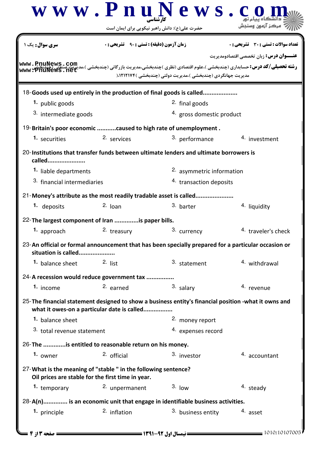|                                         | حضرت علی(ع): دانش راهبر نیکویی برای ایمان است                                                                       |                                                                                                                       |                                               |  |
|-----------------------------------------|---------------------------------------------------------------------------------------------------------------------|-----------------------------------------------------------------------------------------------------------------------|-----------------------------------------------|--|
| <mark>سری سوال :</mark> یک ۱            | <b>زمان آزمون (دقیقه) : تستی : ۹۰٪ تشریحی : 0</b>                                                                   |                                                                                                                       | <b>تعداد سوالات : تستی : 30 ٪ تشریحی : 0</b>  |  |
| www.PnuNews.com<br>www.PnuNews.n        |                                                                                                                     | <b>رشته تحصیلی/کد درس:</b> حسابداری (چندبخشی )،علوم اقتصادی (نظری )چندبخشی،مدیریت بازرگانی (چندبخشی )،مد <sub>:</sub> | <b>عنـــوان درس:</b> زبان تخصصي اقتصادومديريت |  |
|                                         |                                                                                                                     | مدیریت جهانگردی (چندبخشی )،مدیریت دولتی (چندبخشی )۱۲۱۲۱۷۴،(                                                           |                                               |  |
| 1. public goods                         |                                                                                                                     | 18-Goods used up entirely in the production of final goods is called<br><sup>2</sup> final goods                      |                                               |  |
| 3. intermediate goods                   |                                                                                                                     | 4. gross domestic product                                                                                             |                                               |  |
|                                         |                                                                                                                     |                                                                                                                       |                                               |  |
| 1. securities                           | 19-Britain's poor economic caused to high rate of unemployment.<br>2. services                                      | 3. performance                                                                                                        | 4. investment                                 |  |
|                                         |                                                                                                                     |                                                                                                                       |                                               |  |
| called                                  |                                                                                                                     | 20-Institutions that transfer funds between ultimate lenders and ultimate borrowers is                                |                                               |  |
| 1. liable departments                   |                                                                                                                     | 2. asymmetric information                                                                                             |                                               |  |
| 3. financial intermediaries             |                                                                                                                     | 4. transaction deposits                                                                                               |                                               |  |
|                                         | 21-Money's attribute as the most readily tradable asset is called                                                   |                                                                                                                       |                                               |  |
| 1. deposits                             | $2.$ Joan                                                                                                           | 3. barter                                                                                                             | 4. liquidity                                  |  |
|                                         | 22-The largest component of Iran is paper bills.                                                                    |                                                                                                                       |                                               |  |
| 1. approach                             | 2. treasury                                                                                                         | 3. currency                                                                                                           | <sup>4.</sup> traveler's check                |  |
|                                         |                                                                                                                     | 23-An official or formal announcement that has been specially prepared for a particular occasion or                   |                                               |  |
| situation is called<br>1. balance sheet | $2.$ list                                                                                                           | 3. statement                                                                                                          | <sup>4</sup> withdrawal                       |  |
|                                         |                                                                                                                     |                                                                                                                       |                                               |  |
|                                         | 24-A recession would reduce government tax                                                                          |                                                                                                                       |                                               |  |
| 1. income                               | 2. earned                                                                                                           | 3. salary                                                                                                             | 4. revenue                                    |  |
|                                         | what it owes-on a particular date is called                                                                         | 25-The financial statement designed to show a business entity's financial position -what it owns and                  |                                               |  |
| 1. balance sheet                        |                                                                                                                     | 2. money report                                                                                                       |                                               |  |
| 3. total revenue statement              |                                                                                                                     | 4. expenses record                                                                                                    |                                               |  |
|                                         | 26-The is entitled to reasonable return on his money.                                                               |                                                                                                                       |                                               |  |
| 1. owner                                | <sup>2.</sup> official                                                                                              | 3. investor                                                                                                           | 4. accountant                                 |  |
|                                         | 27-What is the meaning of "stable " in the following sentence?<br>Oil prices are stable for the first time in year. |                                                                                                                       |                                               |  |
| 1. temporary                            | 2. unpermanent                                                                                                      | 3.10w                                                                                                                 | $4.$ steady                                   |  |
|                                         |                                                                                                                     | 28-A(n) is an economic unit that engage in identifiable business activities.                                          |                                               |  |
| 1. principle                            | 2. inflation                                                                                                        | 3. business entity                                                                                                    | 4. asset                                      |  |